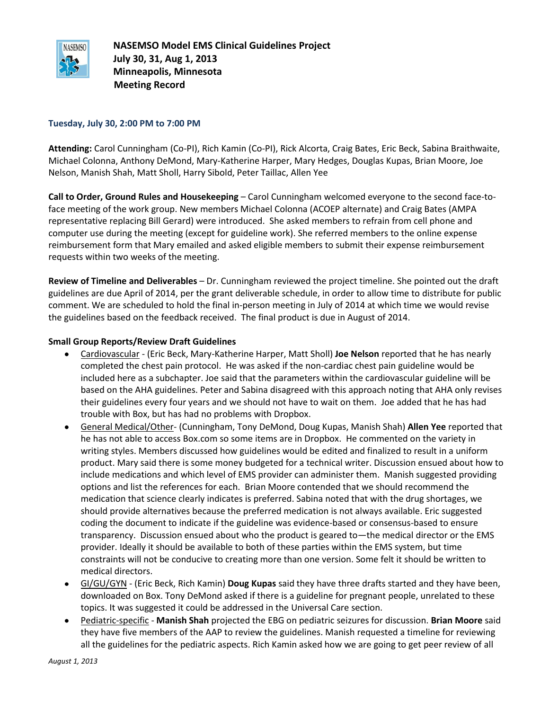

**NASEMSO Model EMS Clinical Guidelines Project July 30, 31, Aug 1, 2013 Minneapolis, Minnesota Meeting Record**

#### **Tuesday, July 30, 2:00 PM to 7:00 PM**

**Attending:** Carol Cunningham (Co-PI), Rich Kamin (Co-PI), Rick Alcorta, Craig Bates, Eric Beck, Sabina Braithwaite, Michael Colonna, Anthony DeMond, Mary-Katherine Harper, Mary Hedges, Douglas Kupas, Brian Moore, Joe Nelson, Manish Shah, Matt Sholl, Harry Sibold, Peter Taillac, Allen Yee

**Call to Order, Ground Rules and Housekeeping** – Carol Cunningham welcomed everyone to the second face-toface meeting of the work group. New members Michael Colonna (ACOEP alternate) and Craig Bates (AMPA representative replacing Bill Gerard) were introduced. She asked members to refrain from cell phone and computer use during the meeting (except for guideline work). She referred members to the online expense reimbursement form that Mary emailed and asked eligible members to submit their expense reimbursement requests within two weeks of the meeting.

**Review of Timeline and Deliverables** – Dr. Cunningham reviewed the project timeline. She pointed out the draft guidelines are due April of 2014, per the grant deliverable schedule, in order to allow time to distribute for public comment. We are scheduled to hold the final in-person meeting in July of 2014 at which time we would revise the guidelines based on the feedback received. The final product is due in August of 2014.

#### **Small Group Reports/Review Draft Guidelines**

- Cardiovascular (Eric Beck, Mary-Katherine Harper, Matt Sholl) **Joe Nelson** reported that he has nearly completed the chest pain protocol. He was asked if the non-cardiac chest pain guideline would be included here as a subchapter. Joe said that the parameters within the cardiovascular guideline will be based on the AHA guidelines. Peter and Sabina disagreed with this approach noting that AHA only revises their guidelines every four years and we should not have to wait on them. Joe added that he has had trouble with Box, but has had no problems with Dropbox.
- General Medical/Other- (Cunningham, Tony DeMond, Doug Kupas, Manish Shah) **Allen Yee** reported that he has not able to access Box.com so some items are in Dropbox. He commented on the variety in writing styles. Members discussed how guidelines would be edited and finalized to result in a uniform product. Mary said there is some money budgeted for a technical writer. Discussion ensued about how to include medications and which level of EMS provider can administer them. Manish suggested providing options and list the references for each. Brian Moore contended that we should recommend the medication that science clearly indicates is preferred. Sabina noted that with the drug shortages, we should provide alternatives because the preferred medication is not always available. Eric suggested coding the document to indicate if the guideline was evidence-based or consensus-based to ensure transparency. Discussion ensued about who the product is geared to—the medical director or the EMS provider. Ideally it should be available to both of these parties within the EMS system, but time constraints will not be conducive to creating more than one version. Some felt it should be written to medical directors.
- GI/GU/GYN (Eric Beck, Rich Kamin) **Doug Kupas** said they have three drafts started and they have been, downloaded on Box. Tony DeMond asked if there is a guideline for pregnant people, unrelated to these topics. It was suggested it could be addressed in the Universal Care section.
- Pediatric-specific **Manish Shah** projected the EBG on pediatric seizures for discussion. **Brian Moore** said they have five members of the AAP to review the guidelines. Manish requested a timeline for reviewing all the guidelines for the pediatric aspects. Rich Kamin asked how we are going to get peer review of all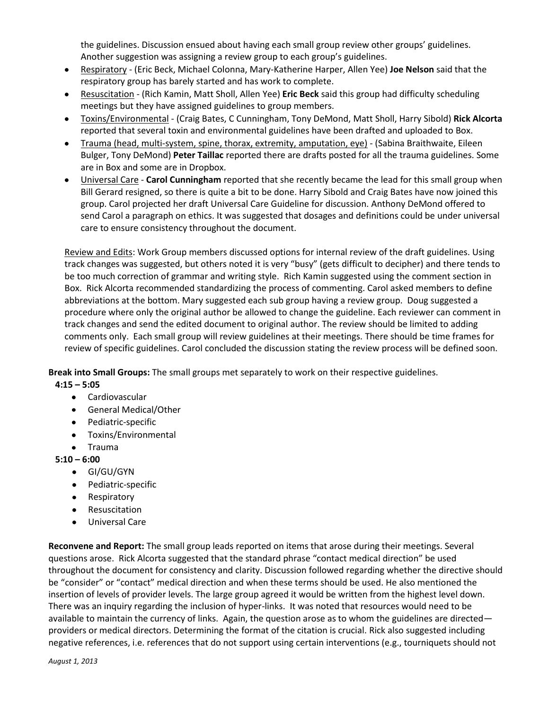the guidelines. Discussion ensued about having each small group review other groups' guidelines. Another suggestion was assigning a review group to each group's guidelines.

- Respiratory (Eric Beck, Michael Colonna, Mary-Katherine Harper, Allen Yee) **Joe Nelson** said that the respiratory group has barely started and has work to complete.
- Resuscitation (Rich Kamin, Matt Sholl, Allen Yee) **Eric Beck** said this group had difficulty scheduling meetings but they have assigned guidelines to group members.
- Toxins/Environmental (Craig Bates, C Cunningham, Tony DeMond, Matt Sholl, Harry Sibold) **Rick Alcorta** reported that several toxin and environmental guidelines have been drafted and uploaded to Box.
- Trauma (head, multi-system, spine, thorax, extremity, amputation, eye) (Sabina Braithwaite, Eileen Bulger, Tony DeMond) **Peter Taillac** reported there are drafts posted for all the trauma guidelines. Some are in Box and some are in Dropbox.
- Universal Care **Carol Cunningham** reported that she recently became the lead for this small group when Bill Gerard resigned, so there is quite a bit to be done. Harry Sibold and Craig Bates have now joined this group. Carol projected her draft Universal Care Guideline for discussion. Anthony DeMond offered to send Carol a paragraph on ethics. It was suggested that dosages and definitions could be under universal care to ensure consistency throughout the document.

Review and Edits: Work Group members discussed options for internal review of the draft guidelines. Using track changes was suggested, but others noted it is very "busy" (gets difficult to decipher) and there tends to be too much correction of grammar and writing style. Rich Kamin suggested using the comment section in Box. Rick Alcorta recommended standardizing the process of commenting. Carol asked members to define abbreviations at the bottom. Mary suggested each sub group having a review group. Doug suggested a procedure where only the original author be allowed to change the guideline. Each reviewer can comment in track changes and send the edited document to original author. The review should be limited to adding comments only. Each small group will review guidelines at their meetings. There should be time frames for review of specific guidelines. Carol concluded the discussion stating the review process will be defined soon.

**Break into Small Groups:** The small groups met separately to work on their respective guidelines.

- **4:15 – 5:05**
	- Cardiovascular
	- General Medical/Other
	- Pediatric-specific
	- Toxins/Environmental
	- Trauma

# **5:10 – 6:00**

- GI/GU/GYN
- Pediatric-specific
- Respiratory
- Resuscitation  $\bullet$
- Universal Care  $\bullet$

**Reconvene and Report:** The small group leads reported on items that arose during their meetings. Several questions arose. Rick Alcorta suggested that the standard phrase "contact medical direction" be used throughout the document for consistency and clarity. Discussion followed regarding whether the directive should be "consider" or "contact" medical direction and when these terms should be used. He also mentioned the insertion of levels of provider levels. The large group agreed it would be written from the highest level down. There was an inquiry regarding the inclusion of hyper-links. It was noted that resources would need to be available to maintain the currency of links. Again, the question arose as to whom the guidelines are directed providers or medical directors. Determining the format of the citation is crucial. Rick also suggested including negative references, i.e. references that do not support using certain interventions (e.g., tourniquets should not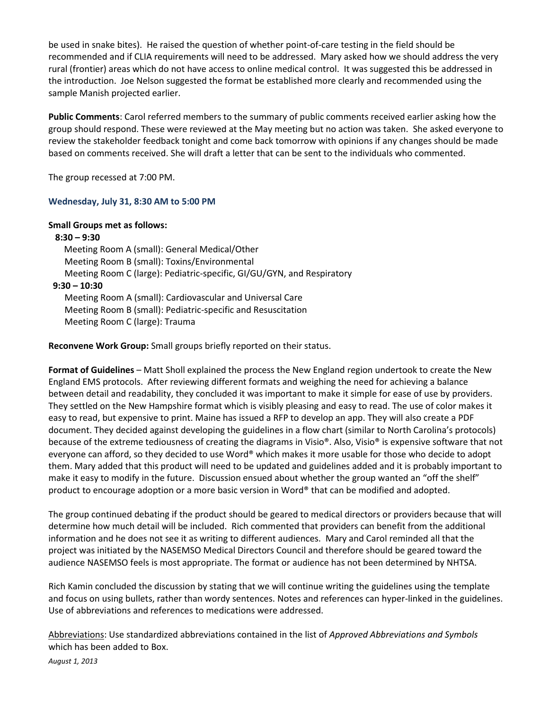be used in snake bites). He raised the question of whether point-of-care testing in the field should be recommended and if CLIA requirements will need to be addressed. Mary asked how we should address the very rural (frontier) areas which do not have access to online medical control. It was suggested this be addressed in the introduction. Joe Nelson suggested the format be established more clearly and recommended using the sample Manish projected earlier.

**Public Comments**: Carol referred members to the summary of public comments received earlier asking how the group should respond. These were reviewed at the May meeting but no action was taken. She asked everyone to review the stakeholder feedback tonight and come back tomorrow with opinions if any changes should be made based on comments received. She will draft a letter that can be sent to the individuals who commented.

The group recessed at 7:00 PM.

## **Wednesday, July 31, 8:30 AM to 5:00 PM**

#### **Small Groups met as follows:**

 **8:30 – 9:30** Meeting Room A (small): General Medical/Other Meeting Room B (small): Toxins/Environmental Meeting Room C (large): Pediatric-specific, GI/GU/GYN, and Respiratory  **9:30 – 10:30** Meeting Room A (small): Cardiovascular and Universal Care Meeting Room B (small): Pediatric-specific and Resuscitation Meeting Room C (large): Trauma

**Reconvene Work Group:** Small groups briefly reported on their status.

**Format of Guidelines** – Matt Sholl explained the process the New England region undertook to create the New England EMS protocols. After reviewing different formats and weighing the need for achieving a balance between detail and readability, they concluded it was important to make it simple for ease of use by providers. They settled on the New Hampshire format which is visibly pleasing and easy to read. The use of color makes it easy to read, but expensive to print. Maine has issued a RFP to develop an app. They will also create a PDF document. They decided against developing the guidelines in a flow chart (similar to North Carolina's protocols) because of the extreme tediousness of creating the diagrams in Visio®. Also, Visio® is expensive software that not everyone can afford, so they decided to use Word® which makes it more usable for those who decide to adopt them. Mary added that this product will need to be updated and guidelines added and it is probably important to make it easy to modify in the future. Discussion ensued about whether the group wanted an "off the shelf" product to encourage adoption or a more basic version in Word® that can be modified and adopted.

The group continued debating if the product should be geared to medical directors or providers because that will determine how much detail will be included. Rich commented that providers can benefit from the additional information and he does not see it as writing to different audiences. Mary and Carol reminded all that the project was initiated by the NASEMSO Medical Directors Council and therefore should be geared toward the audience NASEMSO feels is most appropriate. The format or audience has not been determined by NHTSA.

Rich Kamin concluded the discussion by stating that we will continue writing the guidelines using the template and focus on using bullets, rather than wordy sentences. Notes and references can hyper-linked in the guidelines. Use of abbreviations and references to medications were addressed.

Abbreviations: Use standardized abbreviations contained in the list of *Approved Abbreviations and Symbols* which has been added to Box.

*August 1, 2013*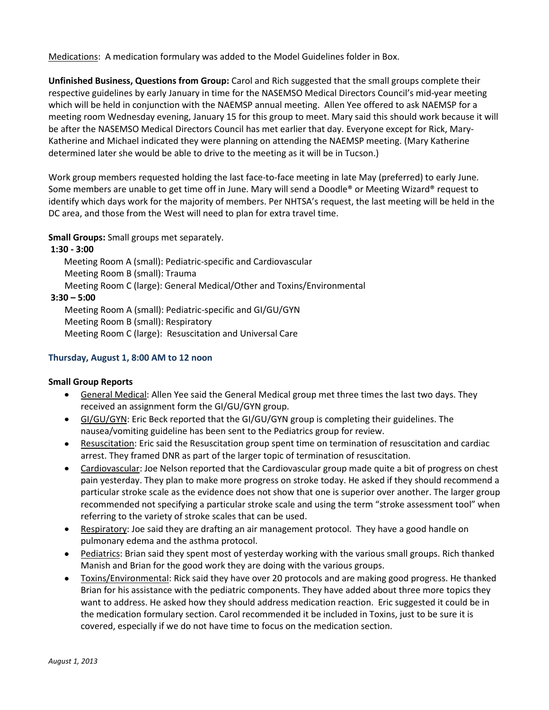Medications: A medication formulary was added to the Model Guidelines folder in Box.

**Unfinished Business, Questions from Group:** Carol and Rich suggested that the small groups complete their respective guidelines by early January in time for the NASEMSO Medical Directors Council's mid-year meeting which will be held in conjunction with the NAEMSP annual meeting. Allen Yee offered to ask NAEMSP for a meeting room Wednesday evening, January 15 for this group to meet. Mary said this should work because it will be after the NASEMSO Medical Directors Council has met earlier that day. Everyone except for Rick, Mary-Katherine and Michael indicated they were planning on attending the NAEMSP meeting. (Mary Katherine determined later she would be able to drive to the meeting as it will be in Tucson.)

Work group members requested holding the last face-to-face meeting in late May (preferred) to early June. Some members are unable to get time off in June. Mary will send a Doodle® or Meeting Wizard® request to identify which days work for the majority of members. Per NHTSA's request, the last meeting will be held in the DC area, and those from the West will need to plan for extra travel time.

**Small Groups:** Small groups met separately.

#### **1:30 - 3:00**

Meeting Room A (small): Pediatric-specific and Cardiovascular Meeting Room B (small): Trauma Meeting Room C (large): General Medical/Other and Toxins/Environmental

#### **3:30 – 5:00**

Meeting Room A (small): Pediatric-specific and GI/GU/GYN Meeting Room B (small): Respiratory Meeting Room C (large): Resuscitation and Universal Care

### **Thursday, August 1, 8:00 AM to 12 noon**

#### **Small Group Reports**

- General Medical: Allen Yee said the General Medical group met three times the last two days. They received an assignment form the GI/GU/GYN group.
- GI/GU/GYN: Eric Beck reported that the GI/GU/GYN group is completing their guidelines. The nausea/vomiting guideline has been sent to the Pediatrics group for review.
- Resuscitation: Eric said the Resuscitation group spent time on termination of resuscitation and cardiac arrest. They framed DNR as part of the larger topic of termination of resuscitation.
- Cardiovascular: Joe Nelson reported that the Cardiovascular group made quite a bit of progress on chest pain yesterday. They plan to make more progress on stroke today. He asked if they should recommend a particular stroke scale as the evidence does not show that one is superior over another. The larger group recommended not specifying a particular stroke scale and using the term "stroke assessment tool" when referring to the variety of stroke scales that can be used.
- Respiratory: Joe said they are drafting an air management protocol. They have a good handle on pulmonary edema and the asthma protocol.
- Pediatrics: Brian said they spent most of yesterday working with the various small groups. Rich thanked Manish and Brian for the good work they are doing with the various groups.
- Toxins/Environmental: Rick said they have over 20 protocols and are making good progress. He thanked Brian for his assistance with the pediatric components. They have added about three more topics they want to address. He asked how they should address medication reaction. Eric suggested it could be in the medication formulary section. Carol recommended it be included in Toxins, just to be sure it is covered, especially if we do not have time to focus on the medication section.